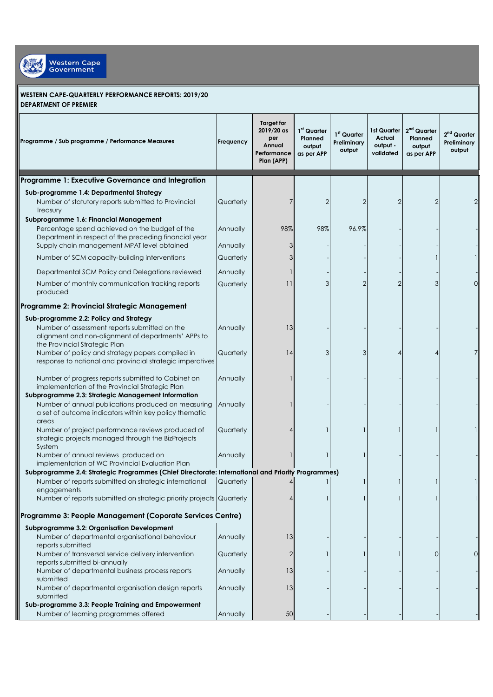

## **WESTERN CAPE-QUARTERLY PERFORMANCE REPORTS: 2019/20 DEPARTMENT OF PREMIER**

| Programme / Sub programme / Performance Measures                                                                                                                      | Frequency | <b>Target for</b><br>2019/20 as<br>per<br>Annual<br>Performance<br>Plan (APP) | 1st Quarter<br>Planned<br>output<br>as per APP | 1 <sup>st</sup> Quarter<br>Preliminary<br>output | 1st Quarter<br><b>Actual</b><br>output -<br>validated | $2nd$ Quarter<br>Planned<br>output<br>as per APP | 2 <sup>nd</sup> Quarter<br>Preliminary<br>output |
|-----------------------------------------------------------------------------------------------------------------------------------------------------------------------|-----------|-------------------------------------------------------------------------------|------------------------------------------------|--------------------------------------------------|-------------------------------------------------------|--------------------------------------------------|--------------------------------------------------|
| Programme 1: Executive Governance and Integration                                                                                                                     |           |                                                                               |                                                |                                                  |                                                       |                                                  |                                                  |
| Sub-programme 1.4: Departmental Strategy                                                                                                                              |           |                                                                               |                                                |                                                  |                                                       |                                                  |                                                  |
| Number of statutory reports submitted to Provincial<br>Treasury                                                                                                       | Quarterly | 7                                                                             | 2                                              |                                                  |                                                       |                                                  |                                                  |
| Subprogramme 1.6: Financial Management<br>Percentage spend achieved on the budget of the                                                                              | Annually  | 98%                                                                           | 98%                                            | 96.9%                                            |                                                       |                                                  |                                                  |
| Department in respect of the preceding financial year<br>Supply chain management MPAT level obtained                                                                  | Annually  | 3                                                                             |                                                |                                                  |                                                       |                                                  |                                                  |
| Number of SCM capacity-building interventions                                                                                                                         | Quarterly | 3                                                                             |                                                |                                                  |                                                       |                                                  |                                                  |
| Departmental SCM Policy and Delegations reviewed                                                                                                                      | Annually  |                                                                               |                                                |                                                  |                                                       |                                                  |                                                  |
| Number of monthly communication tracking reports<br>produced                                                                                                          | Quarterly | 11                                                                            | 3                                              |                                                  |                                                       | 3                                                | 0                                                |
| Programme 2: Provincial Strategic Management                                                                                                                          |           |                                                                               |                                                |                                                  |                                                       |                                                  |                                                  |
| Sub-programme 2.2: Policy and Strategy                                                                                                                                |           |                                                                               |                                                |                                                  |                                                       |                                                  |                                                  |
| Number of assessment reports submitted on the<br>alignment and non-alignment of departments' APPs to<br>the Provincial Strategic Plan                                 | Annually  | 13                                                                            |                                                |                                                  |                                                       |                                                  |                                                  |
| Number of policy and strategy papers compiled in<br>response to national and provincial strategic imperatives                                                         | Quarterly | 14                                                                            | 3                                              | 3                                                |                                                       |                                                  |                                                  |
| Number of progress reports submitted to Cabinet on<br>implementation of the Provincial Strategic Plan                                                                 | Annually  |                                                                               |                                                |                                                  |                                                       |                                                  |                                                  |
| Subprogramme 2.3: Strategic Management Information                                                                                                                    |           |                                                                               |                                                |                                                  |                                                       |                                                  |                                                  |
| Number of annual publications produced on measuring<br>a set of outcome indicators within key policy thematic<br>areas                                                | Annually  |                                                                               |                                                |                                                  |                                                       |                                                  |                                                  |
| Number of project performance reviews produced of<br>strategic projects managed through the BizProjects<br>System                                                     | Quarterly |                                                                               |                                                |                                                  |                                                       |                                                  |                                                  |
| Number of annual reviews produced on<br>implementation of WC Provincial Evaluation Plan                                                                               | Annually  |                                                                               |                                                |                                                  |                                                       |                                                  |                                                  |
| Subprogramme 2.4: Strategic Programmes (Chief Directorate: International and Priority Programmes)<br>Number of reports submitted on strategic international Quarterly |           | $\overline{4}$                                                                |                                                |                                                  |                                                       |                                                  |                                                  |
| engagements                                                                                                                                                           |           |                                                                               |                                                |                                                  |                                                       |                                                  |                                                  |
| Number of reports submitted on strategic priority projects Quarterly                                                                                                  |           |                                                                               |                                                |                                                  |                                                       |                                                  |                                                  |
| Programme 3: People Management (Coporate Services Centre)                                                                                                             |           |                                                                               |                                                |                                                  |                                                       |                                                  |                                                  |
| Subprogramme 3.2: Organisation Development                                                                                                                            |           |                                                                               |                                                |                                                  |                                                       |                                                  |                                                  |
| Number of departmental organisational behaviour                                                                                                                       | Annually  | 13                                                                            |                                                |                                                  |                                                       |                                                  |                                                  |
| reports submitted<br>Number of transversal service delivery intervention<br>reports submitted bi-annually                                                             | Quarterly | $\overline{2}$                                                                |                                                |                                                  |                                                       | $\Omega$                                         | O                                                |
| Number of departmental business process reports                                                                                                                       | Annually  | 13                                                                            |                                                |                                                  |                                                       |                                                  |                                                  |
| submitted<br>Number of departmental organisation design reports<br>submitted                                                                                          | Annually  | 13                                                                            |                                                |                                                  |                                                       |                                                  |                                                  |
| Sub-programme 3.3: People Training and Empowerment<br>Number of learning programmes offered                                                                           | Annually  | 50                                                                            |                                                |                                                  |                                                       |                                                  |                                                  |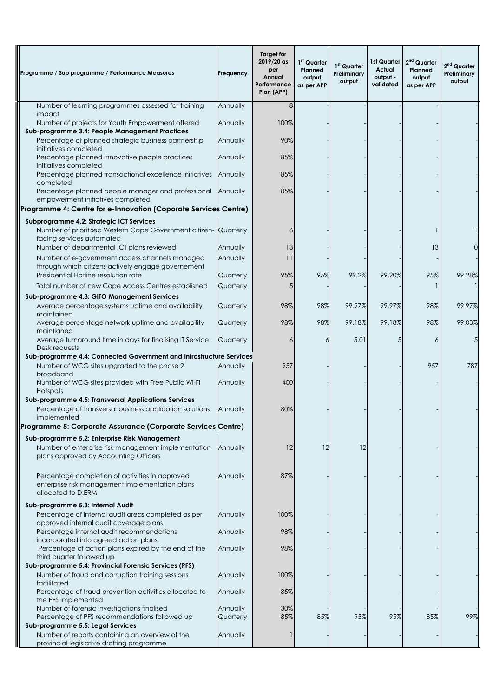| Programme / Sub programme / Performance Measures                                                                                | Frequency | <b>Target for</b><br>2019/20 as<br>per<br>Annual<br>Performance<br>Plan (APP) | 1 <sup>st</sup> Quarter<br>Planned<br>output<br>as per APP | 1st Quarter<br>Preliminary<br>output | 1st Quarter<br><b>Actual</b><br>output -<br>validated | 2 <sup>nd</sup> Quarter<br>Planned<br>output<br>as per APP | $2nd$ Quarter<br>Preliminary<br>output |
|---------------------------------------------------------------------------------------------------------------------------------|-----------|-------------------------------------------------------------------------------|------------------------------------------------------------|--------------------------------------|-------------------------------------------------------|------------------------------------------------------------|----------------------------------------|
| Number of learning programmes assessed for training                                                                             | Annually  | 8                                                                             |                                                            |                                      |                                                       |                                                            |                                        |
| impact<br>Number of projects for Youth Empowerment offered                                                                      | Annually  | 100%                                                                          |                                                            |                                      |                                                       |                                                            |                                        |
| Sub-programme 3.4: People Management Practices<br>Percentage of planned strategic business partnership                          | Annually  | 90%                                                                           |                                                            |                                      |                                                       |                                                            |                                        |
| initiatives completed<br>Percentage planned innovative people practices<br>initiatives completed                                | Annually  | 85%                                                                           |                                                            |                                      |                                                       |                                                            |                                        |
| Percentage planned transactional excellence initiatives                                                                         | Annually  | 85%                                                                           |                                                            |                                      |                                                       |                                                            |                                        |
| completed<br>Percentage planned people manager and professional                                                                 | Annually  | 85%                                                                           |                                                            |                                      |                                                       |                                                            |                                        |
| empowerment initiatives completed<br>Programme 4: Centre for e-Innovation (Coporate Services Centre)                            |           |                                                                               |                                                            |                                      |                                                       |                                                            |                                        |
|                                                                                                                                 |           |                                                                               |                                                            |                                      |                                                       |                                                            |                                        |
| Subprogramme 4.2: Strategic ICT Services<br>Number of prioritised Western Cape Government citizen-<br>facing services automated | Quarterly | 6                                                                             |                                                            |                                      |                                                       |                                                            |                                        |
| Number of departmental ICT plans reviewed                                                                                       | Annually  | 13                                                                            |                                                            |                                      |                                                       | 13                                                         |                                        |
| Number of e-government access channels managed<br>through which citizens actively engage governement                            | Annually  | 11                                                                            |                                                            |                                      |                                                       |                                                            |                                        |
| Presidential Hotline resolution rate                                                                                            | Quarterly | 95%                                                                           | 95%                                                        | 99.2%                                | 99.20%                                                | 95%                                                        | 99.28%                                 |
| Total number of new Cape Access Centres established                                                                             | Quarterly | 5                                                                             |                                                            |                                      |                                                       |                                                            |                                        |
| Sub-programme 4.3: GITO Management Services                                                                                     |           |                                                                               |                                                            |                                      |                                                       |                                                            |                                        |
| Average percentage systems uptime and availability<br>maintained                                                                | Quarterly | 98%                                                                           | 98%                                                        | 99.97%                               | 99.97%                                                | 98%                                                        | 99.97%                                 |
| Average percentage network uptime and availability<br>maintianed                                                                | Quarterly | 98%                                                                           | 98%                                                        | 99.18%                               | 99.18%                                                | 98%                                                        | 99.03%                                 |
| Average turnaround time in days for finalising IT Service<br>Desk requests                                                      | Quarterly | 6                                                                             | 6                                                          | 5.01                                 | 5                                                     |                                                            | .5                                     |
| Sub-programme 4.4: Connected Government and Infrastructure Services                                                             |           |                                                                               |                                                            |                                      |                                                       |                                                            |                                        |
| Number of WCG sites upgraded to the phase 2<br>broadband                                                                        | Annually  | 957                                                                           |                                                            |                                      |                                                       | 957                                                        | 787                                    |
| Number of WCG sites provided with Free Public Wi-Fi<br>Hotspots                                                                 | Annually  | 400                                                                           |                                                            |                                      |                                                       |                                                            |                                        |
| Sub-programme 4.5: Transversal Applications Services                                                                            |           |                                                                               |                                                            |                                      |                                                       |                                                            |                                        |
| Percentage of transversal business application solutions<br>implemented                                                         | Annually  | 80%                                                                           |                                                            |                                      |                                                       |                                                            |                                        |
| Programme 5: Corporate Assurance (Corporate Services Centre)                                                                    |           |                                                                               |                                                            |                                      |                                                       |                                                            |                                        |
| Sub-programme 5.2: Enterprise Risk Management                                                                                   |           |                                                                               |                                                            |                                      |                                                       |                                                            |                                        |
| Number of enterprise risk management implementation<br>plans approved by Accounting Officers                                    | Annually  | 12                                                                            | 12                                                         | 12                                   |                                                       |                                                            |                                        |
| Percentage completion of activities in approved<br>enterprise risk management implementation plans<br>allocated to D:ERM        | Annually  | 87%                                                                           |                                                            |                                      |                                                       |                                                            |                                        |
| Sub-programme 5.3: Internal Audit                                                                                               |           |                                                                               |                                                            |                                      |                                                       |                                                            |                                        |
| Percentage of internal audit areas completed as per<br>approved internal audit coverage plans.                                  | Annually  | 100%                                                                          |                                                            |                                      |                                                       |                                                            |                                        |
| Percentage internal audit recommendations<br>incorporated into agreed action plans.                                             | Annually  | 98%                                                                           |                                                            |                                      |                                                       |                                                            |                                        |
| Percentage of action plans expired by the end of the<br>third quarter followed up                                               | Annually  | 98%                                                                           |                                                            |                                      |                                                       |                                                            |                                        |
| Sub-programme 5.4: Provincial Forensic Services (PFS)                                                                           |           |                                                                               |                                                            |                                      |                                                       |                                                            |                                        |
| Number of fraud and corruption training sessions<br>facilitated                                                                 | Annually  | 100%                                                                          |                                                            |                                      |                                                       |                                                            |                                        |
| Percentage of fraud prevention activities allocated to<br>the PFS implemented                                                   | Annually  | 85%                                                                           |                                                            |                                      |                                                       |                                                            |                                        |
| Number of forensic investigations finalised                                                                                     | Annually  | 30%                                                                           |                                                            |                                      |                                                       |                                                            |                                        |
| Percentage of PFS recommendations followed up<br>Sub-programme 5.5: Legal Services                                              | Quarterly | 85%                                                                           | 85%                                                        | 95%                                  | 95%                                                   | 85%                                                        | 99%                                    |
| Number of reports containing an overview of the                                                                                 | Annually  | 1                                                                             |                                                            |                                      |                                                       |                                                            |                                        |
| provincial legislative drafting programme                                                                                       |           |                                                                               |                                                            |                                      |                                                       |                                                            |                                        |